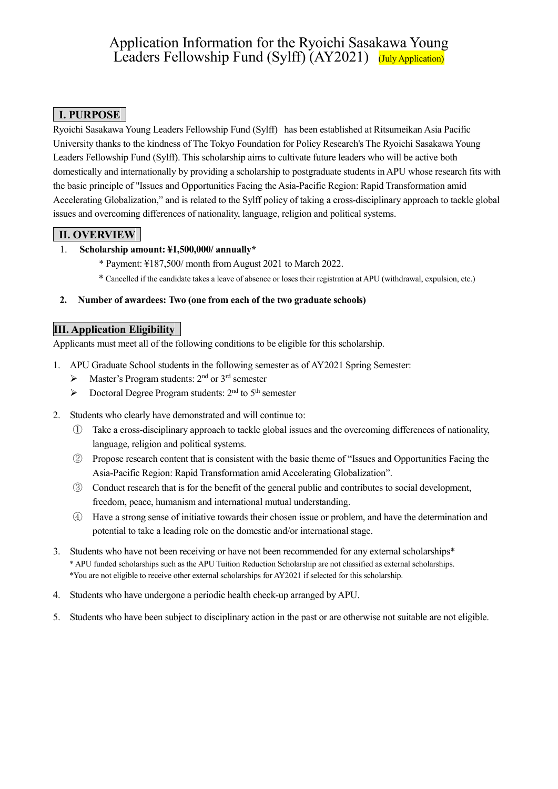# Application Information for the Ryoichi Sasakawa Young Leaders Fellowship Fund (Sylff) (AY2021) (July Application)

## **Ⅰ. PURPOSE**

Ryoichi Sasakawa Young Leaders Fellowship Fund (Sylff) has been established at Ritsumeikan Asia Pacific University thanks to the kindness of The Tokyo Foundation for Policy Research's The Ryoichi Sasakawa Young Leaders Fellowship Fund (Sylff). This scholarship aims to cultivate future leaders who will be active both domestically and internationally by providing a scholarship to postgraduate students in APU whose research fits with the basic principle of "Issues and Opportunities Facing the Asia-Pacific Region: Rapid Transformation amid Accelerating Globalization," and is related to the Sylff policy of taking a cross-disciplinary approach to tackle global issues and overcoming differences of nationality, language, religion and political systems.

## **Ⅱ. OVERVIEW**

### 1. **Scholarship amount: ¥1,500,000/ annually\***

- \* Payment: ¥187,500/ month from August 2021 to March 2022.
- \* Cancelled if the candidate takes a leave of absence or loses their registration at APU (withdrawal, expulsion, etc.)

#### **2. Number of awardees: Two (one from each of the two graduate schools)**

## **Ⅲ. Application Eligibility**

Applicants must meet all of the following conditions to be eligible for this scholarship.

- 1. APU Graduate School students in the following semester as of AY2021 Spring Semester:
	- $\triangleright$  Master's Program students: 2<sup>nd</sup> or 3<sup>rd</sup> semester
	- $\triangleright$  Doctoral Degree Program students: 2<sup>nd</sup> to 5<sup>th</sup> semester
- 2. Students who clearly have demonstrated and will continue to:
	- ① Take a cross-disciplinary approach to tackle global issues and the overcoming differences of nationality, language, religion and political systems.
	- ② Propose research content that is consistent with the basic theme of "Issues and Opportunities Facing the Asia-Pacific Region: Rapid Transformation amid Accelerating Globalization".
	- ③ Conduct research that is for the benefit of the general public and contributes to social development, freedom, peace, humanism and international mutual understanding.
	- ④ Have a strong sense of initiative towards their chosen issue or problem, and have the determination and potential to take a leading role on the domestic and/or international stage.
- 3. Students who have not been receiving or have not been recommended for any external scholarships\* \* APU funded scholarships such as the APU Tuition Reduction Scholarship are not classified as external scholarships. \*You are not eligible to receive other external scholarships for AY2021 if selected for this scholarship.
- 4. Students who have undergone a periodic health check-up arranged by APU.
- 5. Students who have been subject to disciplinary action in the past or are otherwise not suitable are not eligible.